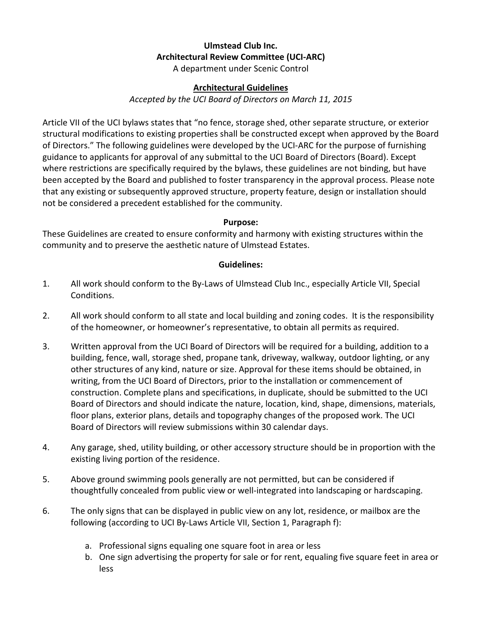## Ulmstead Club Inc. Architectural Review Committee (UCI-ARC)

A department under Scenic Control

## Architectural Guidelines

Accepted by the UCI Board of Directors on March 11, 2015

Article VII of the UCI bylaws states that "no fence, storage shed, other separate structure, or exterior structural modifications to existing properties shall be constructed except when approved by the Board of Directors." The following guidelines were developed by the UCI-ARC for the purpose of furnishing guidance to applicants for approval of any submittal to the UCI Board of Directors (Board). Except where restrictions are specifically required by the bylaws, these guidelines are not binding, but have been accepted by the Board and published to foster transparency in the approval process. Please note that any existing or subsequently approved structure, property feature, design or installation should not be considered a precedent established for the community.

## Purpose:

These Guidelines are created to ensure conformity and harmony with existing structures within the community and to preserve the aesthetic nature of Ulmstead Estates.

## Guidelines:

- 1. All work should conform to the By-Laws of Ulmstead Club Inc., especially Article VII, Special Conditions.
- 2. All work should conform to all state and local building and zoning codes. It is the responsibility of the homeowner, or homeowner's representative, to obtain all permits as required.
- 3. Written approval from the UCI Board of Directors will be required for a building, addition to a building, fence, wall, storage shed, propane tank, driveway, walkway, outdoor lighting, or any other structures of any kind, nature or size. Approval for these items should be obtained, in writing, from the UCI Board of Directors, prior to the installation or commencement of construction. Complete plans and specifications, in duplicate, should be submitted to the UCI Board of Directors and should indicate the nature, location, kind, shape, dimensions, materials, floor plans, exterior plans, details and topography changes of the proposed work. The UCI Board of Directors will review submissions within 30 calendar days.
- 4. Any garage, shed, utility building, or other accessory structure should be in proportion with the existing living portion of the residence.
- 5. Above ground swimming pools generally are not permitted, but can be considered if thoughtfully concealed from public view or well-integrated into landscaping or hardscaping.
- 6. The only signs that can be displayed in public view on any lot, residence, or mailbox are the following (according to UCI By-Laws Article VII, Section 1, Paragraph f):
	- a. Professional signs equaling one square foot in area or less
	- b. One sign advertising the property for sale or for rent, equaling five square feet in area or less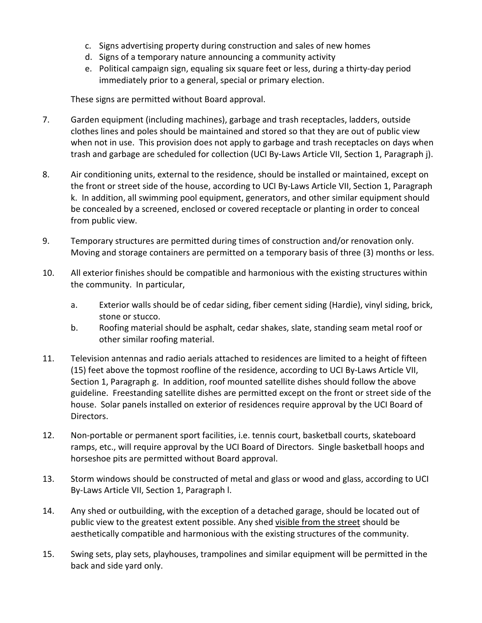- c. Signs advertising property during construction and sales of new homes
- d. Signs of a temporary nature announcing a community activity
- e. Political campaign sign, equaling six square feet or less, during a thirty-day period immediately prior to a general, special or primary election.

These signs are permitted without Board approval.

- 7. Garden equipment (including machines), garbage and trash receptacles, ladders, outside clothes lines and poles should be maintained and stored so that they are out of public view when not in use. This provision does not apply to garbage and trash receptacles on days when trash and garbage are scheduled for collection (UCI By-Laws Article VII, Section 1, Paragraph j).
- 8. Air conditioning units, external to the residence, should be installed or maintained, except on the front or street side of the house, according to UCI By-Laws Article VII, Section 1, Paragraph k. In addition, all swimming pool equipment, generators, and other similar equipment should be concealed by a screened, enclosed or covered receptacle or planting in order to conceal from public view.
- 9. Temporary structures are permitted during times of construction and/or renovation only. Moving and storage containers are permitted on a temporary basis of three (3) months or less.
- 10. All exterior finishes should be compatible and harmonious with the existing structures within the community. In particular,
	- a. Exterior walls should be of cedar siding, fiber cement siding (Hardie), vinyl siding, brick, stone or stucco.
	- b. Roofing material should be asphalt, cedar shakes, slate, standing seam metal roof or other similar roofing material.
- 11. Television antennas and radio aerials attached to residences are limited to a height of fifteen (15) feet above the topmost roofline of the residence, according to UCI By-Laws Article VII, Section 1, Paragraph g. In addition, roof mounted satellite dishes should follow the above guideline. Freestanding satellite dishes are permitted except on the front or street side of the house. Solar panels installed on exterior of residences require approval by the UCI Board of Directors.
- 12. Non-portable or permanent sport facilities, i.e. tennis court, basketball courts, skateboard ramps, etc., will require approval by the UCI Board of Directors. Single basketball hoops and horseshoe pits are permitted without Board approval.
- 13. Storm windows should be constructed of metal and glass or wood and glass, according to UCI By-Laws Article VII, Section 1, Paragraph l.
- 14. Any shed or outbuilding, with the exception of a detached garage, should be located out of public view to the greatest extent possible. Any shed visible from the street should be aesthetically compatible and harmonious with the existing structures of the community.
- 15. Swing sets, play sets, playhouses, trampolines and similar equipment will be permitted in the back and side yard only.